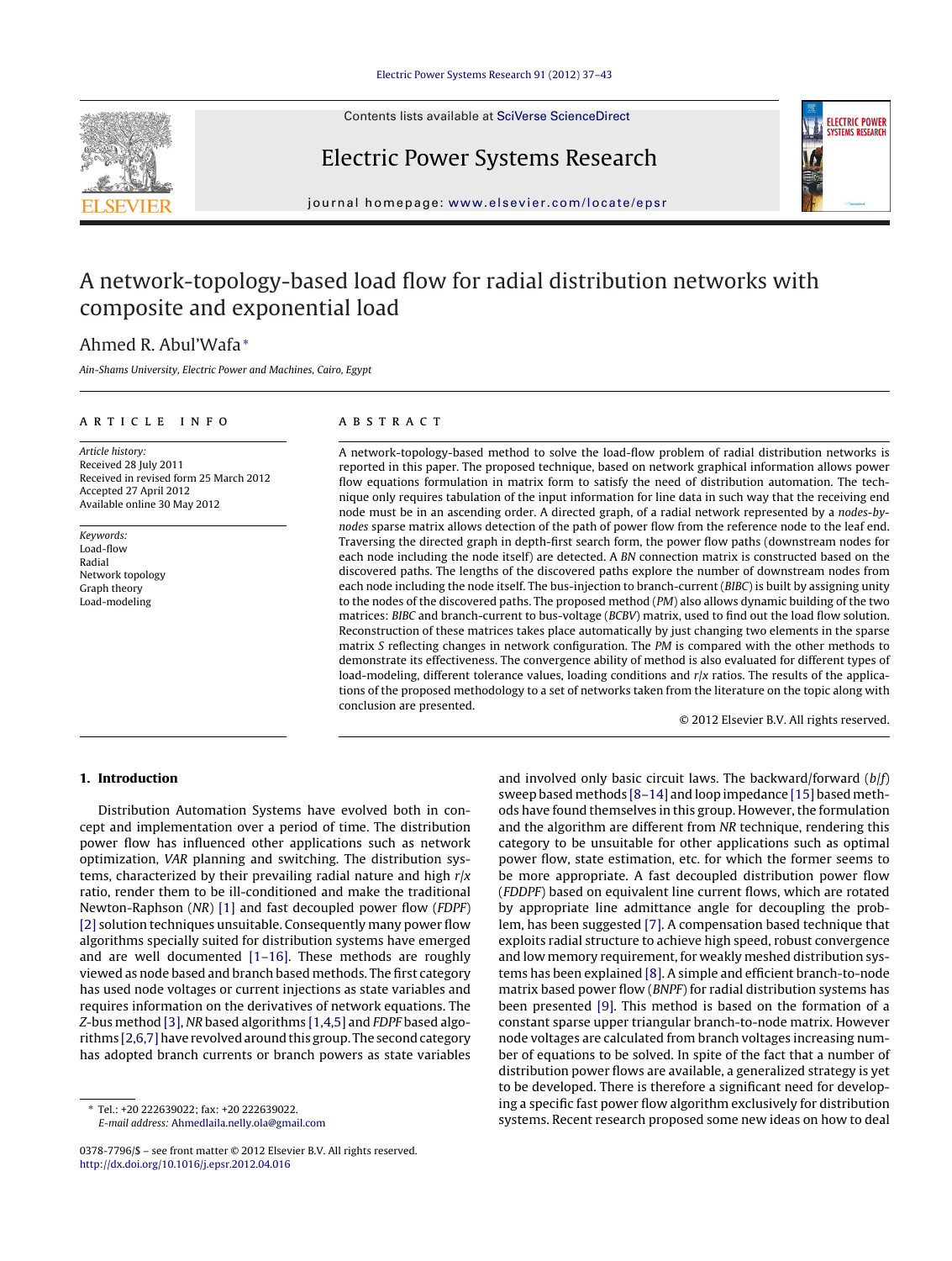

Contents lists available at SciVerse [ScienceDirect](http://www.sciencedirect.com/science/journal/03787796)

Electric Power Systems Research



jour nal homepage: [www.elsevier.com/locate/epsr](http://www.elsevier.com/locate/epsr)

## A network-topology-based load flow for radial distribution networks with composite and exponential load

### Ahmed R. Abul'Wafa<sup>∗</sup>

Ain-Shams University, Electric Power and Machines, Cairo, Egypt

#### ARTICLE INFO

Article history: Received 28 July 2011 Received in revised form 25 March 2012 Accepted 27 April 2012 Available online 30 May 2012

Keywords: Load-flow Radial Network topology Graph theory Load-modeling

#### A B S T R A C T

A network-topology-based method to solve the load-flow problem of radial distribution networks is reported in this paper. The proposed technique, based on network graphical information allows power flow equations formulation in matrix form to satisfy the need of distribution automation. The technique only requires tabulation of the input information for line data in such way that the receiving end node must be in an ascending order. A directed graph, of a radial network represented by a nodes-bynodes sparse matrix allows detection of the path of power flow from the reference node to the leaf end. Traversing the directed graph in depth-first search form, the power flow paths (downstream nodes for each node including the node itself) are detected. A BN connection matrix is constructed based on the discovered paths. The lengths of the discovered paths explore the number of downstream nodes from each node including the node itself. The bus-injection to branch-current (BIBC) is built by assigning unity to the nodes of the discovered paths. The proposed method (PM) also allows dynamic building of the two matrices: BIBC and branch-current to bus-voltage (BCBV) matrix, used to find out the load flow solution. Reconstruction of these matrices takes place automatically by just changing two elements in the sparse matrix S reflecting changes in network configuration. The PM is compared with the other methods to demonstrate its effectiveness. The convergence ability of method is also evaluated for different types of load-modeling, different tolerance values, loading conditions and  $r/x$  ratios. The results of the applications of the proposed methodology to a set of networks taken from the literature on the topic along with conclusion are presented.

© 2012 Elsevier B.V. All rights reserved.

#### **1. Introduction**

Distribution Automation Systems have evolved both in concept and implementation over a period of time. The distribution power flow has influenced other applications such as network optimization, VAR planning and switching. The distribution systems, characterized by their prevailing radial nature and high  $r/x$ ratio, render them to be ill-conditioned and make the traditional Newton-Raphson (NR) [\[1\]](#page--1-0) and fast decoupled power flow (FDPF) [\[2\]](#page--1-0) solution techniques unsuitable. Consequently many power flow algorithms specially suited for distribution systems have emerged and are well documented [\[1–16\].](#page--1-0) These methods are roughly viewed as node based and branch based methods. The first category has used node voltages or current injections as state variables and requires information on the derivatives of network equations. The Z-bus method [\[3\],](#page--1-0) NR based algorithms [\[1,4,5\]](#page--1-0) and FDPF based algorithms [2,6,7] have revolved around this group. The second category has adopted branch currents or branch powers as state variables

and involved only basic circuit laws. The backward/forward  $(b/f)$ sweep based methods [\[8–14\]](#page--1-0) and loop impedance [\[15\]](#page--1-0) based methods have found themselves in this group. However, the formulation and the algorithm are different from NR technique, rendering this category to be unsuitable for other applications such as optimal power flow, state estimation, etc. for which the former seems to be more appropriate. A fast decoupled distribution power flow (FDDPF) based on equivalent line current flows, which are rotated by appropriate line admittance angle for decoupling the problem, has been suggested [\[7\].](#page--1-0) A compensation based technique that exploits radial structure to achieve high speed, robust convergence and low memory requirement, for weakly meshed distribution systems has been explained [\[8\].](#page--1-0) A simple and efficient branch-to-node matrix based power flow (BNPF) for radial distribution systems has been presented [\[9\].](#page--1-0) This method is based on the formation of a constant sparse upper triangular branch-to-node matrix. However node voltages are calculated from branch voltages increasing number of equations to be solved. In spite of the fact that a number of distribution power flows are available, a generalized strategy is yet to be developed. There is therefore a significant need for developing a specific fast power flow algorithm exclusively for distribution systems. Recent research proposed some new ideas on how to deal

<sup>∗</sup> Tel.: +20 222639022; fax: +20 222639022. E-mail address: [Ahmedlaila.nelly.ola@gmail.com](mailto:Ahmedlaila.nelly.ola@gmail.com)

<sup>0378-7796/\$</sup> – see front matter © 2012 Elsevier B.V. All rights reserved. [http://dx.doi.org/10.1016/j.epsr.2012.04.016](dx.doi.org/10.1016/j.epsr.2012.04.016)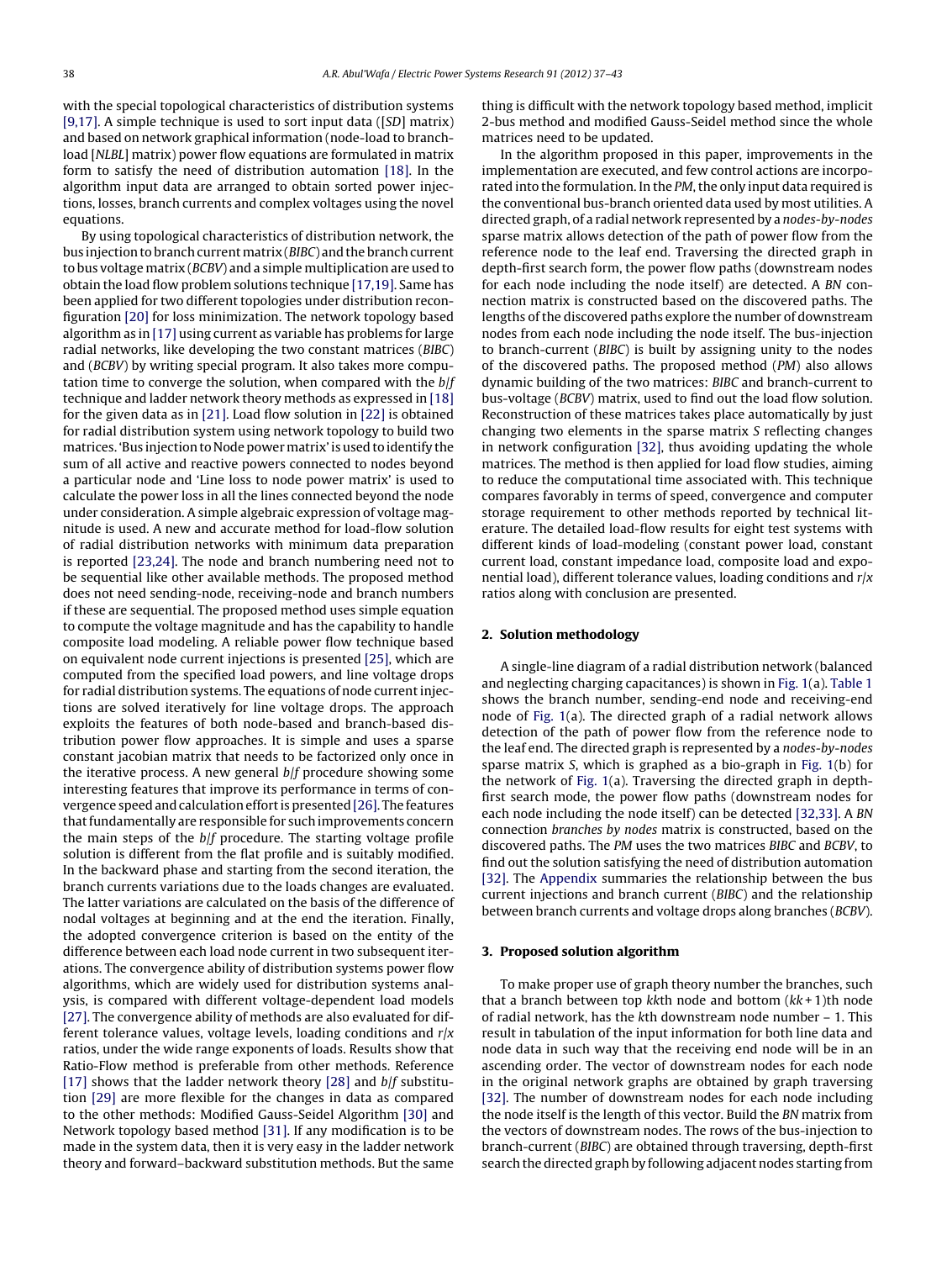with the special topological characteristics of distribution systems [\[9,17\].](#page--1-0) A simple technique is used to sort input data ([SD] matrix) and based on network graphical information (node-load to branchload [NLBL] matrix) power flow equations are formulated in matrix form to satisfy the need of distribution automation [\[18\].](#page--1-0) In the algorithm input data are arranged to obtain sorted power injections, losses, branch currents and complex voltages using the novel equations.

By using topological characteristics of distribution network, the bus injection to branch current matrix (BIBC) and the branch current to bus voltage matrix (BCBV) and a simple multiplication are used to obtain the load flow problem solutions technique [\[17,19\].](#page--1-0) Same has been applied for two different topologies under distribution reconfiguration [\[20\]](#page--1-0) for loss minimization. The network topology based algorithm as in [\[17\]](#page--1-0) using current as variable has problems for large radial networks, like developing the two constant matrices (BIBC) and (BCBV) by writing special program. It also takes more computation time to converge the solution, when compared with the b/f technique and ladder network theory methods as expressed in [\[18\]](#page--1-0) for the given data as in [\[21\].](#page--1-0) Load flow solution in [\[22\]](#page--1-0) is obtained for radial distribution system using network topology to build two matrices. 'Bus injection to Node power matrix' is used to identify the sum of all active and reactive powers connected to nodes beyond a particular node and 'Line loss to node power matrix' is used to calculate the power loss in all the lines connected beyond the node under consideration. A simple algebraic expression of voltage magnitude is used. A new and accurate method for load-flow solution of radial distribution networks with minimum data preparation is reported [\[23,24\].](#page--1-0) The node and branch numbering need not to be sequential like other available methods. The proposed method does not need sending-node, receiving-node and branch numbers if these are sequential. The proposed method uses simple equation to compute the voltage magnitude and has the capability to handle composite load modeling. A reliable power flow technique based on equivalent node current injections is presented [\[25\],](#page--1-0) which are computed from the specified load powers, and line voltage drops for radial distribution systems. The equations of node current injections are solved iteratively for line voltage drops. The approach exploits the features of both node-based and branch-based distribution power flow approaches. It is simple and uses a sparse constant jacobian matrix that needs to be factorized only once in the iterative process. A new general  $b/f$  procedure showing some interesting features that improve its performance in terms of con-vergence speed and calculation effort is presented [\[26\].](#page--1-0) The features that fundamentally are responsible for such improvements concern the main steps of the  $b/f$  procedure. The starting voltage profile solution is different from the flat profile and is suitably modified. In the backward phase and starting from the second iteration, the branch currents variations due to the loads changes are evaluated. The latter variations are calculated on the basis of the difference of nodal voltages at beginning and at the end the iteration. Finally, the adopted convergence criterion is based on the entity of the difference between each load node current in two subsequent iterations. The convergence ability of distribution systems power flow algorithms, which are widely used for distribution systems analysis, is compared with different voltage-dependent load models [\[27\].](#page--1-0) The convergence ability of methods are also evaluated for different tolerance values, voltage levels, loading conditions and  $r/x$ ratios, under the wide range exponents of loads. Results show that Ratio-Flow method is preferable from other methods. Reference [\[17\]](#page--1-0) shows that the ladder network theory [\[28\]](#page--1-0) and b/f substitution [\[29\]](#page--1-0) are more flexible for the changes in data as compared to the other methods: Modified Gauss-Seidel Algorithm [\[30\]](#page--1-0) and Network topology based method [\[31\].](#page--1-0) If any modification is to be made in the system data, then it is very easy in the ladder network theory and forward–backward substitution methods. But the same

thing is difficult with the network topology based method, implicit 2-bus method and modified Gauss-Seidel method since the whole matrices need to be updated.

In the algorithm proposed in this paper, improvements in the implementation are executed, and few control actions are incorporated into the formulation. In the PM, the only input data required is the conventional bus-branch oriented data used by most utilities. A directed graph, of a radial network represented by a nodes-by-nodes sparse matrix allows detection of the path of power flow from the reference node to the leaf end. Traversing the directed graph in depth-first search form, the power flow paths (downstream nodes for each node including the node itself) are detected. A BN connection matrix is constructed based on the discovered paths. The lengths of the discovered paths explore the number of downstream nodes from each node including the node itself. The bus-injection to branch-current (BIBC) is built by assigning unity to the nodes of the discovered paths. The proposed method (PM) also allows dynamic building of the two matrices: BIBC and branch-current to bus-voltage (BCBV) matrix, used to find out the load flow solution. Reconstruction of these matrices takes place automatically by just changing two elements in the sparse matrix S reflecting changes in network configuration [\[32\],](#page--1-0) thus avoiding updating the whole matrices. The method is then applied for load flow studies, aiming to reduce the computational time associated with. This technique compares favorably in terms of speed, convergence and computer storage requirement to other methods reported by technical literature. The detailed load-flow results for eight test systems with different kinds of load-modeling (constant power load, constant current load, constant impedance load, composite load and exponential load), different tolerance values, loading conditions and  $r/x$ ratios along with conclusion are presented.

#### **2. Solution methodology**

A single-line diagram of a radial distribution network (balanced and neglecting charging capacitances) is shown in [Fig.](#page--1-0) 1(a). [Table](#page--1-0) 1 shows the branch number, sending-end node and receiving-end node of [Fig.](#page--1-0) 1(a). The directed graph of a radial network allows detection of the path of power flow from the reference node to the leaf end. The directed graph is represented by a nodes-by-nodes sparse matrix S, which is graphed as a bio-graph in [Fig.](#page--1-0) 1(b) for the network of [Fig.](#page--1-0) 1(a). Traversing the directed graph in depthfirst search mode, the power flow paths (downstream nodes for each node including the node itself) can be detected [\[32,33\].](#page--1-0) A BN connection branches by nodes matrix is constructed, based on the discovered paths. The PM uses the two matrices BIBC and BCBV, to find out the solution satisfying the need of distribution automation [\[32\].](#page--1-0) The [Appendix](#page--1-0) summaries the relationship between the bus current injections and branch current (BIBC) and the relationship between branch currents and voltage drops along branches (BCBV).

#### **3. Proposed solution algorithm**

To make proper use of graph theory number the branches, such that a branch between top kkth node and bottom  $(kk + 1)$ th node of radial network, has the kth downstream node number – 1. This result in tabulation of the input information for both line data and node data in such way that the receiving end node will be in an ascending order. The vector of downstream nodes for each node in the original network graphs are obtained by graph traversing [\[32\].](#page--1-0) The number of downstream nodes for each node including the node itself is the length of this vector. Build the BN matrix from the vectors of downstream nodes. The rows of the bus-injection to branch-current (BIBC) are obtained through traversing, depth-first search the directed graph by following adjacent nodes starting from